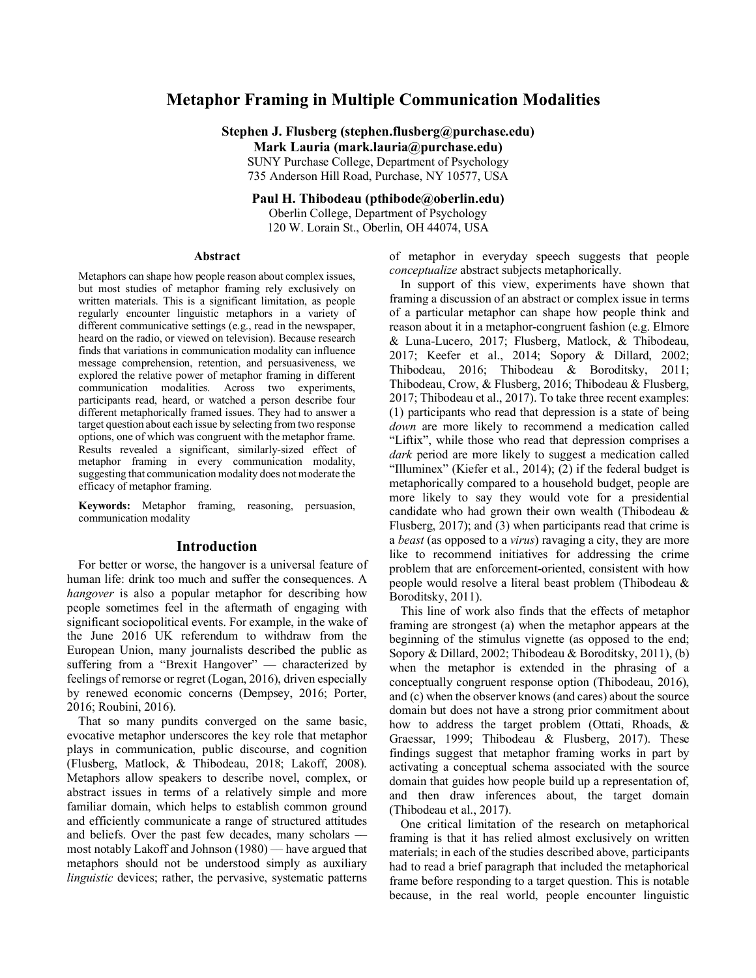# **Metaphor Framing in Multiple Communication Modalities**

**Stephen J. Flusberg (stephen.flusberg@purchase.edu) Mark Lauria (mark.lauria@purchase.edu)**

SUNY Purchase College, Department of Psychology 735 Anderson Hill Road, Purchase, NY 10577, USA

# **Paul H. Thibodeau (pthibode@oberlin.edu)**

Oberlin College, Department of Psychology 120 W. Lorain St., Oberlin, OH 44074, USA

#### **Abstract**

Metaphors can shape how people reason about complex issues, but most studies of metaphor framing rely exclusively on written materials. This is a significant limitation, as people regularly encounter linguistic metaphors in a variety of different communicative settings (e.g., read in the newspaper, heard on the radio, or viewed on television). Because research finds that variations in communication modality can influence message comprehension, retention, and persuasiveness, we explored the relative power of metaphor framing in different communication modalities. Across two experiments, participants read, heard, or watched a person describe four different metaphorically framed issues. They had to answer a target question about each issue by selecting from two response options, one of which was congruent with the metaphor frame. Results revealed a significant, similarly-sized effect of metaphor framing in every communication modality, suggesting that communication modality does not moderate the efficacy of metaphor framing.

**Keywords:** Metaphor framing, reasoning, persuasion, communication modality

#### **Introduction**

For better or worse, the hangover is a universal feature of human life: drink too much and suffer the consequences. A *hangover* is also a popular metaphor for describing how people sometimes feel in the aftermath of engaging with significant sociopolitical events. For example, in the wake of the June 2016 UK referendum to withdraw from the European Union, many journalists described the public as suffering from a "Brexit Hangover" — characterized by feelings of remorse or regret (Logan, 2016), driven especially by renewed economic concerns (Dempsey, 2016; Porter, 2016; Roubini, 2016).

That so many pundits converged on the same basic, evocative metaphor underscores the key role that metaphor plays in communication, public discourse, and cognition (Flusberg, Matlock, & Thibodeau, 2018; Lakoff, 2008). Metaphors allow speakers to describe novel, complex, or abstract issues in terms of a relatively simple and more familiar domain, which helps to establish common ground and efficiently communicate a range of structured attitudes and beliefs. Over the past few decades, many scholars –– most notably Lakoff and Johnson (1980) –– have argued that metaphors should not be understood simply as auxiliary *linguistic* devices; rather, the pervasive, systematic patterns

of metaphor in everyday speech suggests that people *conceptualize* abstract subjects metaphorically.

In support of this view, experiments have shown that framing a discussion of an abstract or complex issue in terms of a particular metaphor can shape how people think and reason about it in a metaphor-congruent fashion (e.g. Elmore & Luna-Lucero, 2017; Flusberg, Matlock, & Thibodeau, 2017; Keefer et al., 2014; Sopory & Dillard, 2002; Thibodeau, 2016; Thibodeau & Boroditsky, 2011; Thibodeau, Crow, & Flusberg, 2016; Thibodeau & Flusberg, 2017; Thibodeau et al., 2017). To take three recent examples: (1) participants who read that depression is a state of being *down* are more likely to recommend a medication called "Liftix", while those who read that depression comprises a *dark* period are more likely to suggest a medication called "Illuminex" (Kiefer et al., 2014); (2) if the federal budget is metaphorically compared to a household budget, people are more likely to say they would vote for a presidential candidate who had grown their own wealth (Thibodeau & Flusberg, 2017); and (3) when participants read that crime is a *beast* (as opposed to a *virus*) ravaging a city, they are more like to recommend initiatives for addressing the crime problem that are enforcement-oriented, consistent with how people would resolve a literal beast problem (Thibodeau & Boroditsky, 2011).

This line of work also finds that the effects of metaphor framing are strongest (a) when the metaphor appears at the beginning of the stimulus vignette (as opposed to the end; Sopory & Dillard, 2002; Thibodeau & Boroditsky, 2011), (b) when the metaphor is extended in the phrasing of a conceptually congruent response option (Thibodeau, 2016), and (c) when the observer knows (and cares) about the source domain but does not have a strong prior commitment about how to address the target problem (Ottati, Rhoads, & Graessar, 1999; Thibodeau & Flusberg, 2017). These findings suggest that metaphor framing works in part by activating a conceptual schema associated with the source domain that guides how people build up a representation of, and then draw inferences about, the target domain (Thibodeau et al., 2017).

One critical limitation of the research on metaphorical framing is that it has relied almost exclusively on written materials; in each of the studies described above, participants had to read a brief paragraph that included the metaphorical frame before responding to a target question. This is notable because, in the real world, people encounter linguistic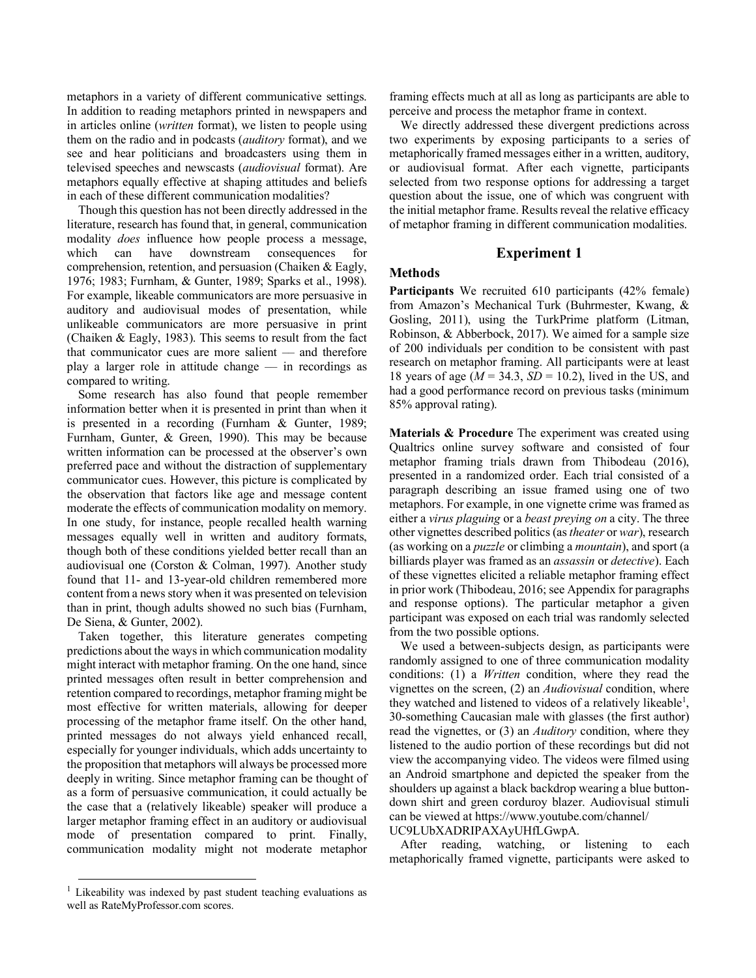metaphors in a variety of different communicative settings. In addition to reading metaphors printed in newspapers and in articles online (*written* format), we listen to people using them on the radio and in podcasts (*auditory* format), and we see and hear politicians and broadcasters using them in televised speeches and newscasts (*audiovisual* format). Are metaphors equally effective at shaping attitudes and beliefs in each of these different communication modalities?

Though this question has not been directly addressed in the literature, research has found that, in general, communication modality *does* influence how people process a message, which can have downstream consequences for comprehension, retention, and persuasion (Chaiken & Eagly, 1976; 1983; Furnham, & Gunter, 1989; Sparks et al., 1998). For example, likeable communicators are more persuasive in auditory and audiovisual modes of presentation, while unlikeable communicators are more persuasive in print (Chaiken & Eagly, 1983). This seems to result from the fact that communicator cues are more salient - and therefore play a larger role in attitude change –– in recordings as compared to writing.

Some research has also found that people remember information better when it is presented in print than when it is presented in a recording (Furnham & Gunter, 1989; Furnham, Gunter, & Green, 1990). This may be because written information can be processed at the observer's own preferred pace and without the distraction of supplementary communicator cues. However, this picture is complicated by the observation that factors like age and message content moderate the effects of communication modality on memory. In one study, for instance, people recalled health warning messages equally well in written and auditory formats, though both of these conditions yielded better recall than an audiovisual one (Corston & Colman, 1997). Another study found that 11- and 13-year-old children remembered more content from a news story when it was presented on television than in print, though adults showed no such bias (Furnham, De Siena, & Gunter, 2002).

Taken together, this literature generates competing predictions about the ways in which communication modality might interact with metaphor framing. On the one hand, since printed messages often result in better comprehension and retention compared to recordings, metaphor framing might be most effective for written materials, allowing for deeper processing of the metaphor frame itself. On the other hand, printed messages do not always yield enhanced recall, especially for younger individuals, which adds uncertainty to the proposition that metaphors will always be processed more deeply in writing. Since metaphor framing can be thought of as a form of persuasive communication, it could actually be the case that a (relatively likeable) speaker will produce a larger metaphor framing effect in an auditory or audiovisual mode of presentation compared to print. Finally, communication modality might not moderate metaphor

 $1$  Likeability was indexed by past student teaching evaluations as well as RateMyProfessor.com scores.

framing effects much at all as long as participants are able to perceive and process the metaphor frame in context.

We directly addressed these divergent predictions across two experiments by exposing participants to a series of metaphorically framed messages either in a written, auditory, or audiovisual format. After each vignette, participants selected from two response options for addressing a target question about the issue, one of which was congruent with the initial metaphor frame. Results reveal the relative efficacy of metaphor framing in different communication modalities.

# **Experiment 1**

# **Methods**

**Participants** We recruited 610 participants (42% female) from Amazon's Mechanical Turk (Buhrmester, Kwang, & Gosling, 2011), using the TurkPrime platform (Litman, Robinson, & Abberbock, 2017). We aimed for a sample size of 200 individuals per condition to be consistent with past research on metaphor framing. All participants were at least 18 years of age (*M* = 34.3, *SD* = 10.2), lived in the US, and had a good performance record on previous tasks (minimum 85% approval rating).

**Materials & Procedure** The experiment was created using Qualtrics online survey software and consisted of four metaphor framing trials drawn from Thibodeau (2016), presented in a randomized order. Each trial consisted of a paragraph describing an issue framed using one of two metaphors. For example, in one vignette crime was framed as either a *virus plaguing* or a *beast preying on* a city. The three other vignettes described politics (as *theater* or *war*), research (as working on a *puzzle* or climbing a *mountain*), and sport (a billiards player was framed as an *assassin* or *detective*). Each of these vignettes elicited a reliable metaphor framing effect in prior work (Thibodeau, 2016; see Appendix for paragraphs and response options). The particular metaphor a given participant was exposed on each trial was randomly selected from the two possible options.

We used a between-subjects design, as participants were randomly assigned to one of three communication modality conditions: (1) a *Written* condition, where they read the vignettes on the screen, (2) an *Audiovisual* condition, where they watched and listened to videos of a relatively likeable<sup>1</sup>, 30-something Caucasian male with glasses (the first author) read the vignettes, or (3) an *Auditory* condition, where they listened to the audio portion of these recordings but did not view the accompanying video. The videos were filmed using an Android smartphone and depicted the speaker from the shoulders up against a black backdrop wearing a blue buttondown shirt and green corduroy blazer. Audiovisual stimuli can be viewed at https://www.youtube.com/channel/ UC9LUbXADRIPAXAyUHfLGwpA.

After reading, watching, or listening to each metaphorically framed vignette, participants were asked to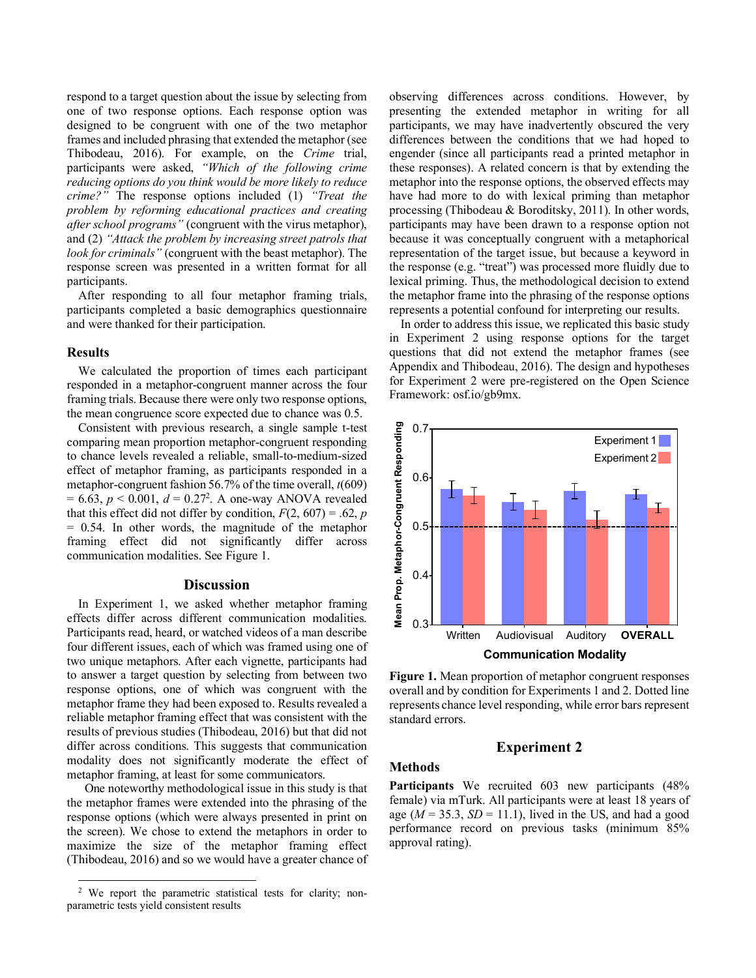respond to a target question about the issue by selecting from one of two response options. Each response option was designed to be congruent with one of the two metaphor frames and included phrasing that extended the metaphor (see Thibodeau, 2016). For example, on the *Crime* trial, participants were asked, *"Which of the following crime reducing options do you think would be more likely to reduce crime?"* The response options included (1) *"Treat the problem by reforming educational practices and creating after school programs"* (congruent with the virus metaphor), and (2) *"Attack the problem by increasing street patrols that look for criminals"* (congruent with the beast metaphor). The response screen was presented in a written format for all participants.

After responding to all four metaphor framing trials, participants completed a basic demographics questionnaire and were thanked for their participation.

## **Results**

We calculated the proportion of times each participant responded in a metaphor-congruent manner across the four framing trials. Because there were only two response options, the mean congruence score expected due to chance was 0.5.

Consistent with previous research, a single sample t-test comparing mean proportion metaphor-congruent responding to chance levels revealed a reliable, small-to-medium-sized effect of metaphor framing, as participants responded in a metaphor-congruent fashion 56.7% of the time overall, *t*(609)  $= 6.63, p < 0.001, d = 0.27<sup>2</sup>$ . A one-way ANOVA revealed that this effect did not differ by condition,  $F(2, 607) = .62$ , *p* = 0.54. In other words, the magnitude of the metaphor framing effect did not significantly differ across communication modalities. See Figure 1.

# **Discussion**

In Experiment 1, we asked whether metaphor framing effects differ across different communication modalities. Participants read, heard, or watched videos of a man describe four different issues, each of which was framed using one of two unique metaphors. After each vignette, participants had to answer a target question by selecting from between two response options, one of which was congruent with the metaphor frame they had been exposed to. Results revealed a reliable metaphor framing effect that was consistent with the results of previous studies (Thibodeau, 2016) but that did not differ across conditions. This suggests that communication modality does not significantly moderate the effect of metaphor framing, at least for some communicators.

One noteworthy methodological issue in this study is that the metaphor frames were extended into the phrasing of the response options (which were always presented in print on the screen). We chose to extend the metaphors in order to maximize the size of the metaphor framing effect (Thibodeau, 2016) and so we would have a greater chance of observing differences across conditions. However, by presenting the extended metaphor in writing for all participants, we may have inadvertently obscured the very differences between the conditions that we had hoped to engender (since all participants read a printed metaphor in these responses). A related concern is that by extending the metaphor into the response options, the observed effects may have had more to do with lexical priming than metaphor processing (Thibodeau & Boroditsky, 2011). In other words, participants may have been drawn to a response option not because it was conceptually congruent with a metaphorical representation of the target issue, but because a keyword in the response (e.g. "treat") was processed more fluidly due to lexical priming. Thus, the methodological decision to extend the metaphor frame into the phrasing of the response options represents a potential confound for interpreting our results.

In order to address this issue, we replicated this basic study in Experiment 2 using response options for the target questions that did not extend the metaphor frames (see Appendix and Thibodeau, 2016). The design and hypotheses for Experiment 2 were pre-registered on the Open Science Framework: osf.io/gb9mx.



**Figure 1.** Mean proportion of metaphor congruent responses overall and by condition for Experiments 1 and 2. Dotted line represents chance level responding, while error bars represent standard errors.

# **Experiment 2**

#### **Methods**

**Participants** We recruited 603 new participants (48% female) via mTurk. All participants were at least 18 years of age  $(M = 35.3, SD = 11.1)$ , lived in the US, and had a good performance record on previous tasks (minimum 85% approval rating).

 <sup>2</sup> We report the parametric statistical tests for clarity; nonparametric tests yield consistent results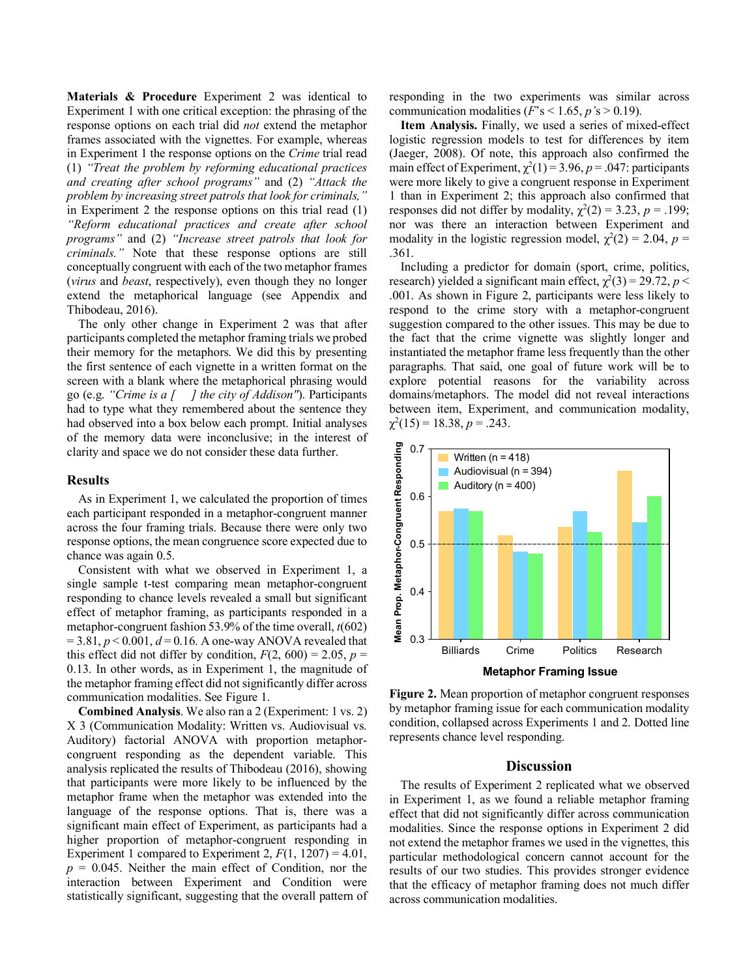**Materials & Procedure** Experiment 2 was identical to Experiment 1 with one critical exception: the phrasing of the response options on each trial did *not* extend the metaphor frames associated with the vignettes. For example, whereas in Experiment 1 the response options on the *Crime* trial read (1) *"Treat the problem by reforming educational practices and creating after school programs"* and (2) *"Attack the problem by increasing street patrols that look for criminals,"* in Experiment 2 the response options on this trial read (1) *"Reform educational practices and create after school programs"* and (2) *"Increase street patrols that look for criminals."* Note that these response options are still conceptually congruent with each of the two metaphor frames (*virus* and *beast*, respectively), even though they no longer extend the metaphorical language (see Appendix and Thibodeau, 2016).

The only other change in Experiment 2 was that after participants completed the metaphor framing trials we probed their memory for the metaphors. We did this by presenting the first sentence of each vignette in a written format on the screen with a blank where the metaphorical phrasing would go (e.g. *"Crime is a [ ] the city of Addison"*). Participants had to type what they remembered about the sentence they had observed into a box below each prompt. Initial analyses of the memory data were inconclusive; in the interest of clarity and space we do not consider these data further.

#### **Results**

As in Experiment 1, we calculated the proportion of times each participant responded in a metaphor-congruent manner across the four framing trials. Because there were only two response options, the mean congruence score expected due to chance was again 0.5.

Consistent with what we observed in Experiment 1, a single sample t-test comparing mean metaphor-congruent responding to chance levels revealed a small but significant effect of metaphor framing, as participants responded in a metaphor-congruent fashion 53.9% of the time overall, *t*(602)  $= 3.81, p < 0.001, d = 0.16$ . A one-way ANOVA revealed that this effect did not differ by condition,  $F(2, 600) = 2.05$ ,  $p =$ 0.13. In other words, as in Experiment 1, the magnitude of the metaphor framing effect did not significantly differ across communication modalities. See Figure 1.

**Combined Analysis**. We also ran a 2 (Experiment: 1 vs. 2) X 3 (Communication Modality: Written vs. Audiovisual vs. Auditory) factorial ANOVA with proportion metaphorcongruent responding as the dependent variable. This analysis replicated the results of Thibodeau (2016), showing that participants were more likely to be influenced by the metaphor frame when the metaphor was extended into the language of the response options. That is, there was a significant main effect of Experiment, as participants had a higher proportion of metaphor-congruent responding in Experiment 1 compared to Experiment 2,  $F(1, 1207) = 4.01$ ,  $p = 0.045$ . Neither the main effect of Condition, nor the interaction between Experiment and Condition were statistically significant, suggesting that the overall pattern of

responding in the two experiments was similar across communication modalities  $(F's \le 1.65, p's > 0.19)$ .

**Item Analysis.** Finally, we used a series of mixed-effect logistic regression models to test for differences by item (Jaeger, 2008). Of note, this approach also confirmed the main effect of Experiment,  $\chi^2(1) = 3.96$ ,  $p = .047$ : participants were more likely to give a congruent response in Experiment 1 than in Experiment 2; this approach also confirmed that responses did not differ by modality,  $\chi^2(2) = 3.23$ ,  $p = .199$ ; nor was there an interaction between Experiment and modality in the logistic regression model,  $\chi^2(2) = 2.04$ ,  $p =$ .361.

Including a predictor for domain (sport, crime, politics, research) yielded a significant main effect,  $\chi^2(3) = 29.72$ ,  $p <$ .001. As shown in Figure 2, participants were less likely to respond to the crime story with a metaphor-congruent suggestion compared to the other issues. This may be due to the fact that the crime vignette was slightly longer and instantiated the metaphor frame less frequently than the other paragraphs. That said, one goal of future work will be to explore potential reasons for the variability across domains/metaphors. The model did not reveal interactions between item, Experiment, and communication modality,  $\chi^2(15) = 18.38, p = .243.$ 



**Figure 2.** Mean proportion of metaphor congruent responses by metaphor framing issue for each communication modality condition, collapsed across Experiments 1 and 2. Dotted line represents chance level responding.

## **Discussion**

The results of Experiment 2 replicated what we observed in Experiment 1, as we found a reliable metaphor framing effect that did not significantly differ across communication modalities. Since the response options in Experiment 2 did not extend the metaphor frames we used in the vignettes, this particular methodological concern cannot account for the results of our two studies. This provides stronger evidence that the efficacy of metaphor framing does not much differ across communication modalities.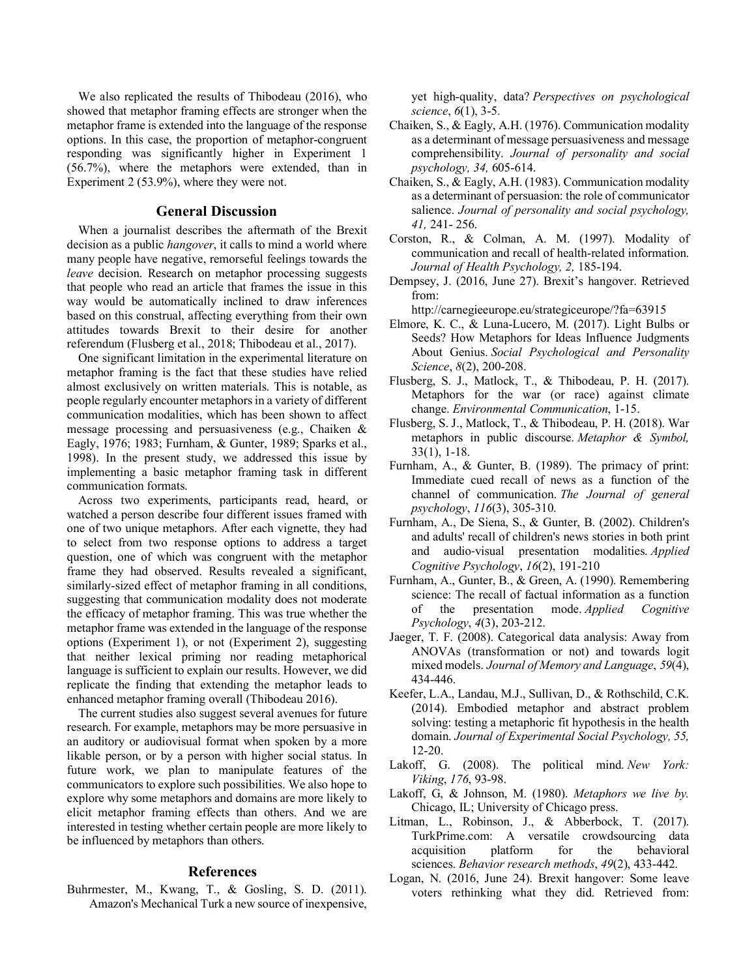We also replicated the results of Thibodeau (2016), who showed that metaphor framing effects are stronger when the metaphor frame is extended into the language of the response options. In this case, the proportion of metaphor-congruent responding was significantly higher in Experiment 1 (56.7%), where the metaphors were extended, than in Experiment 2 (53.9%), where they were not.

#### **General Discussion**

When a journalist describes the aftermath of the Brexit decision as a public *hangover*, it calls to mind a world where many people have negative, remorseful feelings towards the *leave* decision. Research on metaphor processing suggests that people who read an article that frames the issue in this way would be automatically inclined to draw inferences based on this construal, affecting everything from their own attitudes towards Brexit to their desire for another referendum (Flusberg et al., 2018; Thibodeau et al., 2017).

One significant limitation in the experimental literature on metaphor framing is the fact that these studies have relied almost exclusively on written materials. This is notable, as people regularly encounter metaphors in a variety of different communication modalities, which has been shown to affect message processing and persuasiveness (e.g., Chaiken & Eagly, 1976; 1983; Furnham, & Gunter, 1989; Sparks et al., 1998). In the present study, we addressed this issue by implementing a basic metaphor framing task in different communication formats.

Across two experiments, participants read, heard, or watched a person describe four different issues framed with one of two unique metaphors. After each vignette, they had to select from two response options to address a target question, one of which was congruent with the metaphor frame they had observed. Results revealed a significant, similarly-sized effect of metaphor framing in all conditions, suggesting that communication modality does not moderate the efficacy of metaphor framing. This was true whether the metaphor frame was extended in the language of the response options (Experiment 1), or not (Experiment 2), suggesting that neither lexical priming nor reading metaphorical language is sufficient to explain our results. However, we did replicate the finding that extending the metaphor leads to enhanced metaphor framing overall (Thibodeau 2016).

The current studies also suggest several avenues for future research. For example, metaphors may be more persuasive in an auditory or audiovisual format when spoken by a more likable person, or by a person with higher social status. In future work, we plan to manipulate features of the communicators to explore such possibilities. We also hope to explore why some metaphors and domains are more likely to elicit metaphor framing effects than others. And we are interested in testing whether certain people are more likely to be influenced by metaphors than others.

# **References**

Buhrmester, M., Kwang, T., & Gosling, S. D. (2011). Amazon's Mechanical Turk a new source of inexpensive,

yet high-quality, data? *Perspectives on psychological science*, *6*(1), 3-5.

- Chaiken, S., & Eagly, A.H. (1976). Communication modality as a determinant of message persuasiveness and message comprehensibility. *Journal of personality and social psychology, 34,* 605-614.
- Chaiken, S., & Eagly, A.H. (1983). Communication modality as a determinant of persuasion: the role of communicator salience. *Journal of personality and social psychology, 41,* 241- 256.
- Corston, R., & Colman, A. M. (1997). Modality of communication and recall of health-related information. *Journal of Health Psychology, 2,* 185-194.
- Dempsey, J. (2016, June 27). Brexit's hangover. Retrieved from:

http://carnegieeurope.eu/strategiceurope/?fa=63915

- Elmore, K. C., & Luna-Lucero, M. (2017). Light Bulbs or Seeds? How Metaphors for Ideas Influence Judgments About Genius. *Social Psychological and Personality Science*, *8*(2), 200-208.
- Flusberg, S. J., Matlock, T., & Thibodeau, P. H. (2017). Metaphors for the war (or race) against climate change. *Environmental Communication*, 1-15.
- Flusberg, S. J., Matlock, T., & Thibodeau, P. H. (2018). War metaphors in public discourse. *Metaphor & Symbol,*  33(1), 1-18.
- Furnham, A., & Gunter, B. (1989). The primacy of print: Immediate cued recall of news as a function of the channel of communication. *The Journal of general psychology*, *116*(3), 305-310.
- Furnham, A., De Siena, S., & Gunter, B. (2002). Children's and adults' recall of children's news stories in both print and audio-visual presentation modalities. *Applied Cognitive Psychology*, *16*(2), 191-210
- Furnham, A., Gunter, B., & Green, A. (1990). Remembering science: The recall of factual information as a function of the presentation mode. *Applied Cognitive Psychology*, *4*(3), 203-212.
- Jaeger, T. F. (2008). Categorical data analysis: Away from ANOVAs (transformation or not) and towards logit mixed models. *Journal of Memory and Language*, *59*(4), 434-446.
- Keefer, L.A., Landau, M.J., Sullivan, D., & Rothschild, C.K. (2014). Embodied metaphor and abstract problem solving: testing a metaphoric fit hypothesis in the health domain. *Journal of Experimental Social Psychology, 55,*  12-20.
- Lakoff, G. (2008). The political mind. *New York: Viking*, *176*, 93-98.
- Lakoff, G, & Johnson, M. (1980). *Metaphors we live by.*  Chicago, IL; University of Chicago press.
- Litman, L., Robinson, J., & Abberbock, T. (2017). TurkPrime.com: A versatile crowdsourcing data acquisition platform for the behavioral sciences. *Behavior research methods*, *49*(2), 433-442.
- Logan, N. (2016, June 24). Brexit hangover: Some leave voters rethinking what they did. Retrieved from: